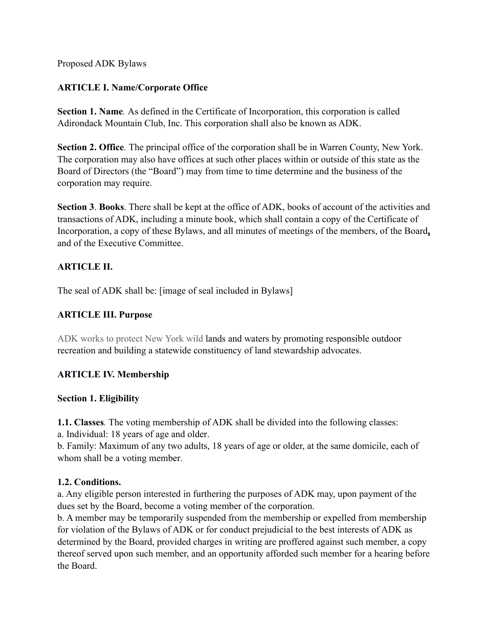Proposed ADK Bylaws

# **ARTICLE I. Name/Corporate Office**

**Section 1. Name***.* As defined in the Certificate of Incorporation, this corporation is called Adirondack Mountain Club, Inc. This corporation shall also be known as ADK.

**Section 2. Office***.* The principal office of the corporation shall be in Warren County, New York. The corporation may also have offices at such other places within or outside of this state as the Board of Directors (the "Board") may from time to time determine and the business of the corporation may require.

**Section 3**. **Books**. There shall be kept at the office of ADK, books of account of the activities and transactions of ADK, including a minute book, which shall contain a copy of the Certificate of Incorporation, a copy of these Bylaws, and all minutes of meetings of the members, of the Board**,** and of the Executive Committee.

# **ARTICLE II.**

The seal of ADK shall be: [image of seal included in Bylaws]

# **ARTICLE III. Purpose**

ADK works to protect New York wild lands and waters by promoting responsible outdoor recreation and building a statewide constituency of land stewardship advocates.

# **ARTICLE IV. Membership**

# **Section 1. Eligibility**

**1.1. Classes***.* The voting membership of ADK shall be divided into the following classes:

a. Individual: 18 years of age and older.

b. Family: Maximum of any two adults, 18 years of age or older, at the same domicile, each of whom shall be a voting member.

# **1.2. Conditions.**

a. Any eligible person interested in furthering the purposes of ADK may, upon payment of the dues set by the Board, become a voting member of the corporation.

b. A member may be temporarily suspended from the membership or expelled from membership for violation of the Bylaws of ADK or for conduct prejudicial to the best interests of ADK as determined by the Board, provided charges in writing are proffered against such member, a copy thereof served upon such member, and an opportunity afforded such member for a hearing before the Board.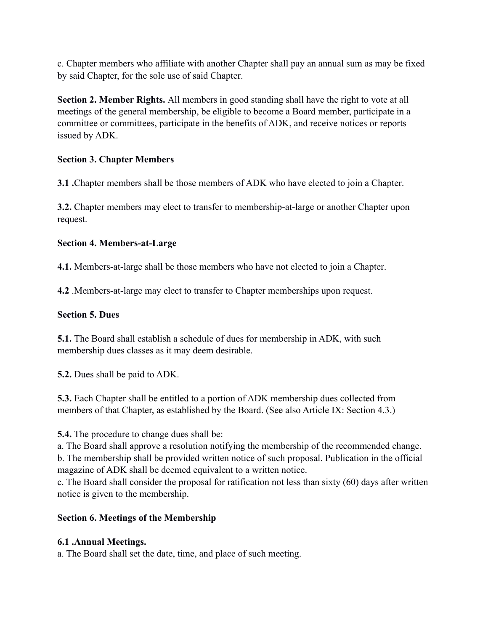c. Chapter members who affiliate with another Chapter shall pay an annual sum as may be fixed by said Chapter, for the sole use of said Chapter.

**Section 2. Member Rights.** All members in good standing shall have the right to vote at all meetings of the general membership, be eligible to become a Board member, participate in a committee or committees, participate in the benefits of ADK, and receive notices or reports issued by ADK.

### **Section 3. Chapter Members**

**3.1 .**Chapter members shall be those members of ADK who have elected to join a Chapter.

**3.2.** Chapter members may elect to transfer to membership-at-large or another Chapter upon request.

### **Section 4. Members-at-Large**

**4.1.** Members-at-large shall be those members who have not elected to join a Chapter.

**4.2** .Members-at-large may elect to transfer to Chapter memberships upon request.

### **Section 5. Dues**

**5.1.** The Board shall establish a schedule of dues for membership in ADK, with such membership dues classes as it may deem desirable.

**5.2.** Dues shall be paid to ADK.

**5.3.** Each Chapter shall be entitled to a portion of ADK membership dues collected from members of that Chapter, as established by the Board. (See also Article IX: Section 4.3.)

**5.4.** The procedure to change dues shall be:

a. The Board shall approve a resolution notifying the membership of the recommended change. b. The membership shall be provided written notice of such proposal. Publication in the official magazine of ADK shall be deemed equivalent to a written notice.

c. The Board shall consider the proposal for ratification not less than sixty (60) days after written notice is given to the membership.

# **Section 6. Meetings of the Membership**

# **6.1 .Annual Meetings.**

a. The Board shall set the date, time, and place of such meeting.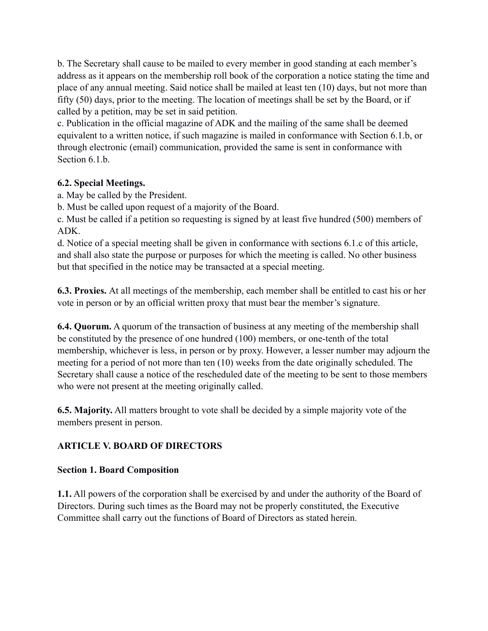b. The Secretary shall cause to be mailed to every member in good standing at each member's address as it appears on the membership roll book of the corporation a notice stating the time and place of any annual meeting. Said notice shall be mailed at least ten (10) days, but not more than fifty (50) days, prior to the meeting. The location of meetings shall be set by the Board, or if called by a petition, may be set in said petition.

c. Publication in the official magazine of ADK and the mailing of the same shall be deemed equivalent to a written notice, if such magazine is mailed in conformance with Section 6.1.b, or through electronic (email) communication, provided the same is sent in conformance with Section 6.1.b.

### **6.2. Special Meetings.**

a. May be called by the President.

b. Must be called upon request of a majority of the Board.

c. Must be called if a petition so requesting is signed by at least five hundred (500) members of ADK.

d. Notice of a special meeting shall be given in conformance with sections 6.1.c of this article, and shall also state the purpose or purposes for which the meeting is called. No other business but that specified in the notice may be transacted at a special meeting.

**6.3. Proxies.** At all meetings of the membership, each member shall be entitled to cast his or her vote in person or by an official written proxy that must bear the member's signature.

**6.4. Quorum.** A quorum of the transaction of business at any meeting of the membership shall be constituted by the presence of one hundred (100) members, or one-tenth of the total membership, whichever is less, in person or by proxy. However, a lesser number may adjourn the meeting for a period of not more than ten (10) weeks from the date originally scheduled. The Secretary shall cause a notice of the rescheduled date of the meeting to be sent to those members who were not present at the meeting originally called.

**6.5. Majority.** All matters brought to vote shall be decided by a simple majority vote of the members present in person.

# **ARTICLE V. BOARD OF DIRECTORS**

#### **Section 1. Board Composition**

**1.1.** All powers of the corporation shall be exercised by and under the authority of the Board of Directors. During such times as the Board may not be properly constituted, the Executive Committee shall carry out the functions of Board of Directors as stated herein.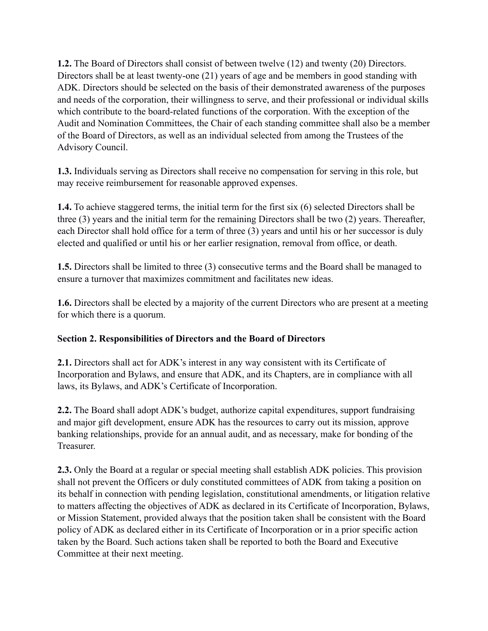**1.2.** The Board of Directors shall consist of between twelve (12) and twenty (20) Directors. Directors shall be at least twenty-one (21) years of age and be members in good standing with ADK. Directors should be selected on the basis of their demonstrated awareness of the purposes and needs of the corporation, their willingness to serve, and their professional or individual skills which contribute to the board-related functions of the corporation. With the exception of the Audit and Nomination Committees, the Chair of each standing committee shall also be a member of the Board of Directors, as well as an individual selected from among the Trustees of the Advisory Council.

**1.3.** Individuals serving as Directors shall receive no compensation for serving in this role, but may receive reimbursement for reasonable approved expenses.

**1.4.** To achieve staggered terms, the initial term for the first six (6) selected Directors shall be three (3) years and the initial term for the remaining Directors shall be two (2) years. Thereafter, each Director shall hold office for a term of three (3) years and until his or her successor is duly elected and qualified or until his or her earlier resignation, removal from office, or death.

**1.5.** Directors shall be limited to three (3) consecutive terms and the Board shall be managed to ensure a turnover that maximizes commitment and facilitates new ideas.

**1.6.** Directors shall be elected by a majority of the current Directors who are present at a meeting for which there is a quorum.

# **Section 2. Responsibilities of Directors and the Board of Directors**

**2.1.** Directors shall act for ADK's interest in any way consistent with its Certificate of Incorporation and Bylaws, and ensure that ADK, and its Chapters, are in compliance with all laws, its Bylaws, and ADK's Certificate of Incorporation.

**2.2.** The Board shall adopt ADK's budget, authorize capital expenditures, support fundraising and major gift development, ensure ADK has the resources to carry out its mission, approve banking relationships, provide for an annual audit, and as necessary, make for bonding of the **Treasurer** 

**2.3.** Only the Board at a regular or special meeting shall establish ADK policies. This provision shall not prevent the Officers or duly constituted committees of ADK from taking a position on its behalf in connection with pending legislation, constitutional amendments, or litigation relative to matters affecting the objectives of ADK as declared in its Certificate of Incorporation, Bylaws, or Mission Statement, provided always that the position taken shall be consistent with the Board policy of ADK as declared either in its Certificate of Incorporation or in a prior specific action taken by the Board. Such actions taken shall be reported to both the Board and Executive Committee at their next meeting.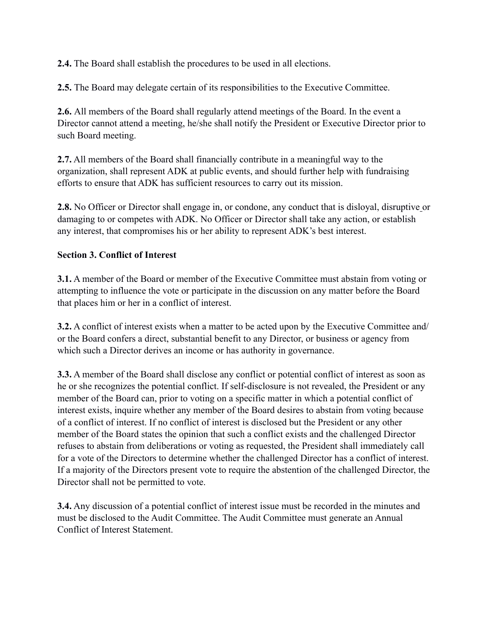**2.4.** The Board shall establish the procedures to be used in all elections.

**2.5.** The Board may delegate certain of its responsibilities to the Executive Committee.

**2.6.** All members of the Board shall regularly attend meetings of the Board. In the event a Director cannot attend a meeting, he/she shall notify the President or Executive Director prior to such Board meeting.

**2.7.** All members of the Board shall financially contribute in a meaningful way to the organization, shall represent ADK at public events, and should further help with fundraising efforts to ensure that ADK has sufficient resources to carry out its mission.

**2.8.** No Officer or Director shall engage in, or condone, any conduct that is disloyal, disruptive or damaging to or competes with ADK. No Officer or Director shall take any action, or establish any interest, that compromises his or her ability to represent ADK's best interest.

#### **Section 3. Conflict of Interest**

**3.1.** A member of the Board or member of the Executive Committee must abstain from voting or attempting to influence the vote or participate in the discussion on any matter before the Board that places him or her in a conflict of interest.

**3.2.** A conflict of interest exists when a matter to be acted upon by the Executive Committee and/ or the Board confers a direct, substantial benefit to any Director, or business or agency from which such a Director derives an income or has authority in governance.

**3.3.** A member of the Board shall disclose any conflict or potential conflict of interest as soon as he or she recognizes the potential conflict. If self-disclosure is not revealed, the President or any member of the Board can, prior to voting on a specific matter in which a potential conflict of interest exists, inquire whether any member of the Board desires to abstain from voting because of a conflict of interest. If no conflict of interest is disclosed but the President or any other member of the Board states the opinion that such a conflict exists and the challenged Director refuses to abstain from deliberations or voting as requested, the President shall immediately call for a vote of the Directors to determine whether the challenged Director has a conflict of interest. If a majority of the Directors present vote to require the abstention of the challenged Director, the Director shall not be permitted to vote.

**3.4.** Any discussion of a potential conflict of interest issue must be recorded in the minutes and must be disclosed to the Audit Committee. The Audit Committee must generate an Annual Conflict of Interest Statement.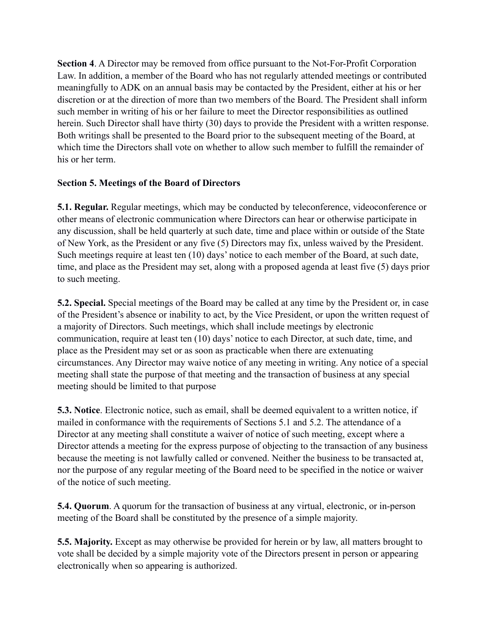**Section 4**. A Director may be removed from office pursuant to the Not-For-Profit Corporation Law. In addition, a member of the Board who has not regularly attended meetings or contributed meaningfully to ADK on an annual basis may be contacted by the President, either at his or her discretion or at the direction of more than two members of the Board. The President shall inform such member in writing of his or her failure to meet the Director responsibilities as outlined herein. Such Director shall have thirty (30) days to provide the President with a written response. Both writings shall be presented to the Board prior to the subsequent meeting of the Board, at which time the Directors shall vote on whether to allow such member to fulfill the remainder of his or her term.

### **Section 5. Meetings of the Board of Directors**

**5.1. Regular.** Regular meetings, which may be conducted by teleconference, videoconference or other means of electronic communication where Directors can hear or otherwise participate in any discussion, shall be held quarterly at such date, time and place within or outside of the State of New York, as the President or any five (5) Directors may fix, unless waived by the President. Such meetings require at least ten (10) days' notice to each member of the Board, at such date, time, and place as the President may set, along with a proposed agenda at least five (5) days prior to such meeting.

**5.2. Special.** Special meetings of the Board may be called at any time by the President or, in case of the President's absence or inability to act, by the Vice President, or upon the written request of a majority of Directors. Such meetings, which shall include meetings by electronic communication, require at least ten (10) days' notice to each Director, at such date, time, and place as the President may set or as soon as practicable when there are extenuating circumstances. Any Director may waive notice of any meeting in writing. Any notice of a special meeting shall state the purpose of that meeting and the transaction of business at any special meeting should be limited to that purpose

**5.3. Notice**. Electronic notice, such as email, shall be deemed equivalent to a written notice, if mailed in conformance with the requirements of Sections 5.1 and 5.2. The attendance of a Director at any meeting shall constitute a waiver of notice of such meeting, except where a Director attends a meeting for the express purpose of objecting to the transaction of any business because the meeting is not lawfully called or convened. Neither the business to be transacted at, nor the purpose of any regular meeting of the Board need to be specified in the notice or waiver of the notice of such meeting.

**5.4. Quorum**. A quorum for the transaction of business at any virtual, electronic, or in-person meeting of the Board shall be constituted by the presence of a simple majority.

**5.5. Majority.** Except as may otherwise be provided for herein or by law, all matters brought to vote shall be decided by a simple majority vote of the Directors present in person or appearing electronically when so appearing is authorized.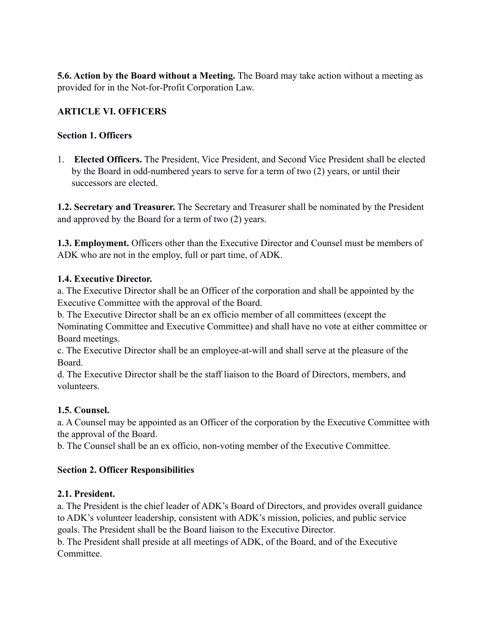**5.6. Action by the Board without a Meeting.** The Board may take action without a meeting as provided for in the Not-for-Profit Corporation Law.

# **ARTICLE VI. OFFICERS**

### **Section 1. Officers**

1. **Elected Officers.** The President, Vice President, and Second Vice President shall be elected by the Board in odd-numbered years to serve for a term of two (2) years, or until their successors are elected.

**1.2. Secretary and Treasurer.** The Secretary and Treasurer shall be nominated by the President and approved by the Board for a term of two (2) years.

**1.3. Employment.** Officers other than the Executive Director and Counsel must be members of ADK who are not in the employ, full or part time, of ADK.

### **1.4. Executive Director.**

a. The Executive Director shall be an Officer of the corporation and shall be appointed by the Executive Committee with the approval of the Board.

b. The Executive Director shall be an ex officio member of all committees (except the Nominating Committee and Executive Committee) and shall have no vote at either committee or Board meetings.

c. The Executive Director shall be an employee-at-will and shall serve at the pleasure of the Board.

d. The Executive Director shall be the staff liaison to the Board of Directors, members, and volunteers.

# **1.5. Counsel.**

a. A Counsel may be appointed as an Officer of the corporation by the Executive Committee with the approval of the Board.

b. The Counsel shall be an ex officio, non-voting member of the Executive Committee.

# **Section 2. Officer Responsibilities**

# **2.1. President.**

a. The President is the chief leader of ADK's Board of Directors, and provides overall guidance to ADK's volunteer leadership, consistent with ADK's mission, policies, and public service goals. The President shall be the Board liaison to the Executive Director.

b. The President shall preside at all meetings of ADK, of the Board, and of the Executive **Committee**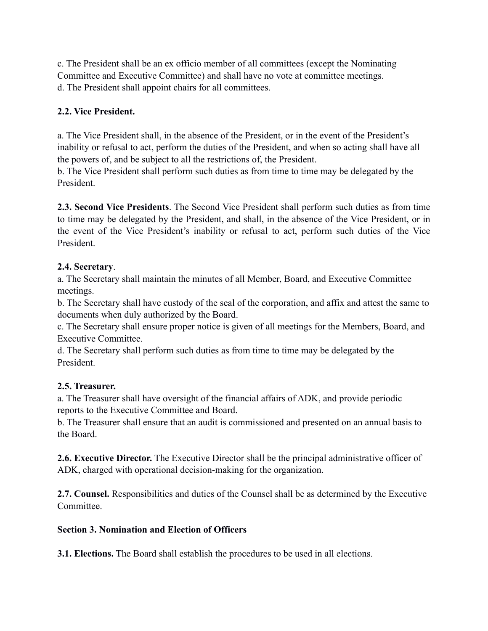c. The President shall be an ex officio member of all committees (except the Nominating Committee and Executive Committee) and shall have no vote at committee meetings. d. The President shall appoint chairs for all committees.

# **2.2. Vice President.**

a. The Vice President shall, in the absence of the President, or in the event of the President's inability or refusal to act, perform the duties of the President, and when so acting shall have all the powers of, and be subject to all the restrictions of, the President.

b. The Vice President shall perform such duties as from time to time may be delegated by the President.

**2.3. Second Vice Presidents**. The Second Vice President shall perform such duties as from time to time may be delegated by the President, and shall, in the absence of the Vice President, or in the event of the Vice President's inability or refusal to act, perform such duties of the Vice President.

# **2.4. Secretary**.

a. The Secretary shall maintain the minutes of all Member, Board, and Executive Committee meetings.

b. The Secretary shall have custody of the seal of the corporation, and affix and attest the same to documents when duly authorized by the Board.

c. The Secretary shall ensure proper notice is given of all meetings for the Members, Board, and Executive Committee.

d. The Secretary shall perform such duties as from time to time may be delegated by the President.

# **2.5. Treasurer.**

a. The Treasurer shall have oversight of the financial affairs of ADK, and provide periodic reports to the Executive Committee and Board.

b. The Treasurer shall ensure that an audit is commissioned and presented on an annual basis to the Board.

**2.6. Executive Director.** The Executive Director shall be the principal administrative officer of ADK, charged with operational decision-making for the organization.

**2.7. Counsel.** Responsibilities and duties of the Counsel shall be as determined by the Executive **Committee** 

# **Section 3. Nomination and Election of Officers**

**3.1. Elections.** The Board shall establish the procedures to be used in all elections.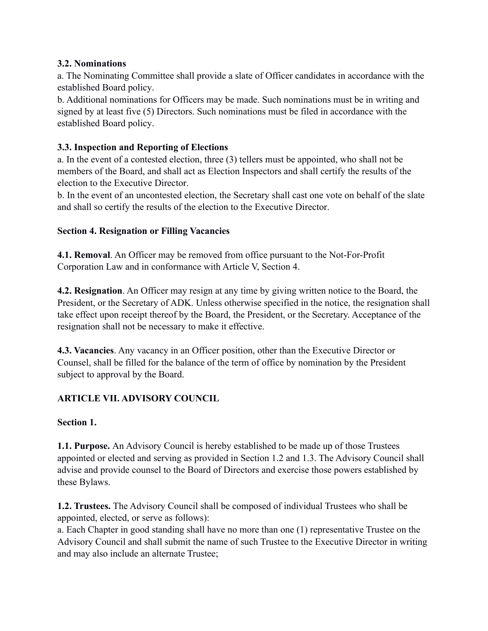### **3.2. Nominations**

a. The Nominating Committee shall provide a slate of Officer candidates in accordance with the established Board policy.

b. Additional nominations for Officers may be made. Such nominations must be in writing and signed by at least five (5) Directors. Such nominations must be filed in accordance with the established Board policy.

### **3.3. Inspection and Reporting of Elections**

a. In the event of a contested election, three (3) tellers must be appointed, who shall not be members of the Board, and shall act as Election Inspectors and shall certify the results of the election to the Executive Director.

b. In the event of an uncontested election, the Secretary shall cast one vote on behalf of the slate and shall so certify the results of the election to the Executive Director.

### **Section 4. Resignation or Filling Vacancies**

**4.1. Removal**. An Officer may be removed from office pursuant to the Not-For-Profit Corporation Law and in conformance with Article V, Section 4.

**4.2. Resignation**. An Officer may resign at any time by giving written notice to the Board, the President, or the Secretary of ADK. Unless otherwise specified in the notice, the resignation shall take effect upon receipt thereof by the Board, the President, or the Secretary. Acceptance of the resignation shall not be necessary to make it effective.

**4.3. Vacancies**. Any vacancy in an Officer position, other than the Executive Director or Counsel, shall be filled for the balance of the term of office by nomination by the President subject to approval by the Board.

# **ARTICLE VII. ADVISORY COUNCIL**

# **Section 1.**

**1.1. Purpose.** An Advisory Council is hereby established to be made up of those Trustees appointed or elected and serving as provided in Section 1.2 and 1.3. The Advisory Council shall advise and provide counsel to the Board of Directors and exercise those powers established by these Bylaws.

**1.2. Trustees.** The Advisory Council shall be composed of individual Trustees who shall be appointed, elected, or serve as follows):

a. Each Chapter in good standing shall have no more than one (1) representative Trustee on the Advisory Council and shall submit the name of such Trustee to the Executive Director in writing and may also include an alternate Trustee;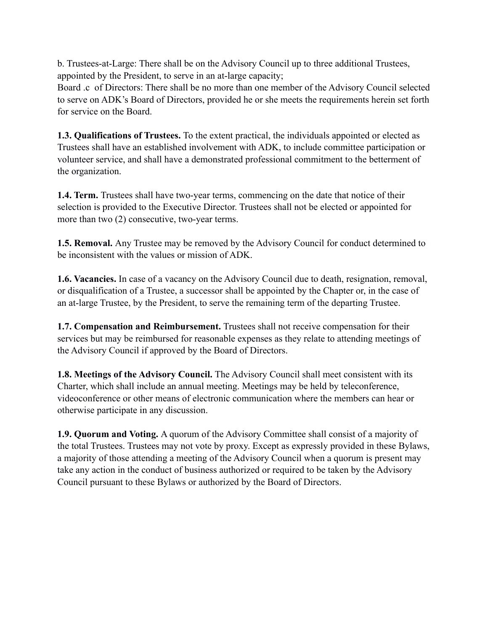b. Trustees-at-Large: There shall be on the Advisory Council up to three additional Trustees, appointed by the President, to serve in an at-large capacity;

Board .c of Directors: There shall be no more than one member of the Advisory Council selected to serve on ADK's Board of Directors, provided he or she meets the requirements herein set forth for service on the Board.

**1.3. Qualifications of Trustees.** To the extent practical, the individuals appointed or elected as Trustees shall have an established involvement with ADK, to include committee participation or volunteer service, and shall have a demonstrated professional commitment to the betterment of the organization.

**1.4. Term.** Trustees shall have two-year terms, commencing on the date that notice of their selection is provided to the Executive Director. Trustees shall not be elected or appointed for more than two (2) consecutive, two-year terms.

**1.5. Removal.** Any Trustee may be removed by the Advisory Council for conduct determined to be inconsistent with the values or mission of ADK.

**1.6. Vacancies.** In case of a vacancy on the Advisory Council due to death, resignation, removal, or disqualification of a Trustee, a successor shall be appointed by the Chapter or, in the case of an at-large Trustee, by the President, to serve the remaining term of the departing Trustee.

**1.7. Compensation and Reimbursement.** Trustees shall not receive compensation for their services but may be reimbursed for reasonable expenses as they relate to attending meetings of the Advisory Council if approved by the Board of Directors.

**1.8. Meetings of the Advisory Council.** The Advisory Council shall meet consistent with its Charter, which shall include an annual meeting. Meetings may be held by teleconference, videoconference or other means of electronic communication where the members can hear or otherwise participate in any discussion.

**1.9. Quorum and Voting.** A quorum of the Advisory Committee shall consist of a majority of the total Trustees. Trustees may not vote by proxy. Except as expressly provided in these Bylaws, a majority of those attending a meeting of the Advisory Council when a quorum is present may take any action in the conduct of business authorized or required to be taken by the Advisory Council pursuant to these Bylaws or authorized by the Board of Directors.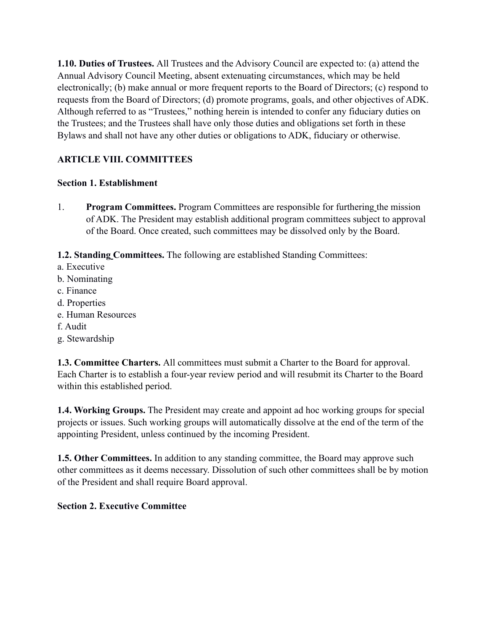**1.10. Duties of Trustees.** All Trustees and the Advisory Council are expected to: (a) attend the Annual Advisory Council Meeting, absent extenuating circumstances, which may be held electronically; (b) make annual or more frequent reports to the Board of Directors; (c) respond to requests from the Board of Directors; (d) promote programs, goals, and other objectives of ADK. Although referred to as "Trustees," nothing herein is intended to confer any fiduciary duties on the Trustees; and the Trustees shall have only those duties and obligations set forth in these Bylaws and shall not have any other duties or obligations to ADK, fiduciary or otherwise.

# **ARTICLE VIII. COMMITTEES**

### **Section 1. Establishment**

1. **Program Committees.** Program Committees are responsible for furthering the mission of ADK. The President may establish additional program committees subject to approval of the Board. Once created, such committees may be dissolved only by the Board.

**1.2. Standing Committees.** The following are established Standing Committees:

- a. Executive
- b. Nominating
- c. Finance
- d. Properties
- e. Human Resources
- f. Audit
- g. Stewardship

**1.3. Committee Charters.** All committees must submit a Charter to the Board for approval. Each Charter is to establish a four-year review period and will resubmit its Charter to the Board within this established period.

**1.4. Working Groups.** The President may create and appoint ad hoc working groups for special projects or issues. Such working groups will automatically dissolve at the end of the term of the appointing President, unless continued by the incoming President.

**1.5. Other Committees.** In addition to any standing committee, the Board may approve such other committees as it deems necessary. Dissolution of such other committees shall be by motion of the President and shall require Board approval.

# **Section 2. Executive Committee**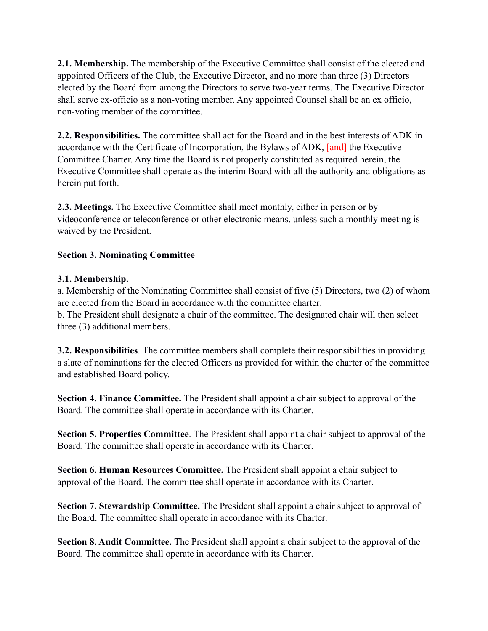**2.1. Membership.** The membership of the Executive Committee shall consist of the elected and appointed Officers of the Club, the Executive Director, and no more than three (3) Directors elected by the Board from among the Directors to serve two-year terms. The Executive Director shall serve ex-officio as a non-voting member. Any appointed Counsel shall be an ex officio, non-voting member of the committee.

**2.2. Responsibilities.** The committee shall act for the Board and in the best interests of ADK in accordance with the Certificate of Incorporation, the Bylaws of ADK, [and] the Executive Committee Charter. Any time the Board is not properly constituted as required herein, the Executive Committee shall operate as the interim Board with all the authority and obligations as herein put forth.

**2.3. Meetings.** The Executive Committee shall meet monthly, either in person or by videoconference or teleconference or other electronic means, unless such a monthly meeting is waived by the President.

# **Section 3. Nominating Committee**

#### **3.1. Membership.**

a. Membership of the Nominating Committee shall consist of five (5) Directors, two (2) of whom are elected from the Board in accordance with the committee charter. b. The President shall designate a chair of the committee. The designated chair will then select three (3) additional members.

**3.2. Responsibilities**. The committee members shall complete their responsibilities in providing a slate of nominations for the elected Officers as provided for within the charter of the committee and established Board policy.

**Section 4. Finance Committee.** The President shall appoint a chair subject to approval of the Board. The committee shall operate in accordance with its Charter.

**Section 5. Properties Committee**. The President shall appoint a chair subject to approval of the Board. The committee shall operate in accordance with its Charter.

**Section 6. Human Resources Committee.** The President shall appoint a chair subject to approval of the Board. The committee shall operate in accordance with its Charter.

**Section 7. Stewardship Committee.** The President shall appoint a chair subject to approval of the Board. The committee shall operate in accordance with its Charter.

**Section 8. Audit Committee.** The President shall appoint a chair subject to the approval of the Board. The committee shall operate in accordance with its Charter.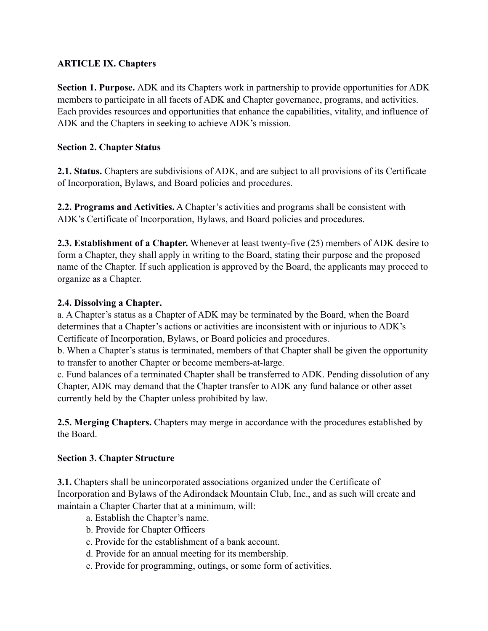# **ARTICLE IX. Chapters**

**Section 1. Purpose.** ADK and its Chapters work in partnership to provide opportunities for ADK members to participate in all facets of ADK and Chapter governance, programs, and activities. Each provides resources and opportunities that enhance the capabilities, vitality, and influence of ADK and the Chapters in seeking to achieve ADK's mission.

### **Section 2. Chapter Status**

**2.1. Status.** Chapters are subdivisions of ADK, and are subject to all provisions of its Certificate of Incorporation, Bylaws, and Board policies and procedures.

**2.2. Programs and Activities.** A Chapter's activities and programs shall be consistent with ADK's Certificate of Incorporation, Bylaws, and Board policies and procedures.

**2.3. Establishment of a Chapter.** Whenever at least twenty-five (25) members of ADK desire to form a Chapter, they shall apply in writing to the Board, stating their purpose and the proposed name of the Chapter. If such application is approved by the Board, the applicants may proceed to organize as a Chapter.

### **2.4. Dissolving a Chapter.**

a. A Chapter's status as a Chapter of ADK may be terminated by the Board, when the Board determines that a Chapter's actions or activities are inconsistent with or injurious to ADK's Certificate of Incorporation, Bylaws, or Board policies and procedures.

b. When a Chapter's status is terminated, members of that Chapter shall be given the opportunity to transfer to another Chapter or become members-at-large.

c. Fund balances of a terminated Chapter shall be transferred to ADK. Pending dissolution of any Chapter, ADK may demand that the Chapter transfer to ADK any fund balance or other asset currently held by the Chapter unless prohibited by law.

**2.5. Merging Chapters.** Chapters may merge in accordance with the procedures established by the Board.

# **Section 3. Chapter Structure**

**3.1.** Chapters shall be unincorporated associations organized under the Certificate of Incorporation and Bylaws of the Adirondack Mountain Club, Inc., and as such will create and maintain a Chapter Charter that at a minimum, will:

- a. Establish the Chapter's name.
- b. Provide for Chapter Officers
- c. Provide for the establishment of a bank account.
- d. Provide for an annual meeting for its membership.
- e. Provide for programming, outings, or some form of activities.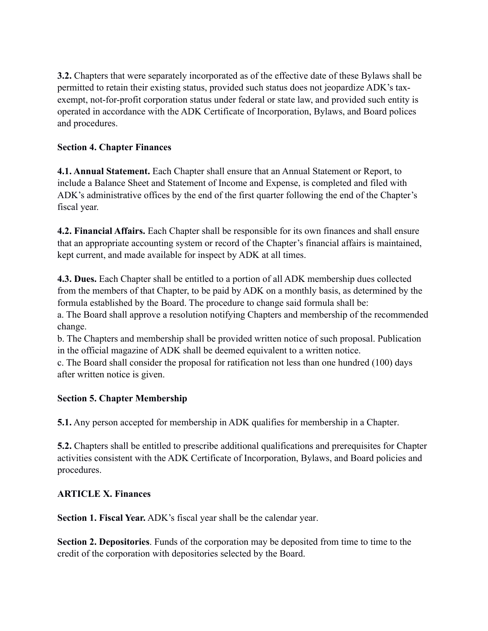**3.2.** Chapters that were separately incorporated as of the effective date of these Bylaws shall be permitted to retain their existing status, provided such status does not jeopardize ADK's taxexempt, not-for-profit corporation status under federal or state law, and provided such entity is operated in accordance with the ADK Certificate of Incorporation, Bylaws, and Board polices and procedures.

# **Section 4. Chapter Finances**

**4.1. Annual Statement.** Each Chapter shall ensure that an Annual Statement or Report, to include a Balance Sheet and Statement of Income and Expense, is completed and filed with ADK's administrative offices by the end of the first quarter following the end of the Chapter's fiscal year.

**4.2. Financial Affairs.** Each Chapter shall be responsible for its own finances and shall ensure that an appropriate accounting system or record of the Chapter's financial affairs is maintained, kept current, and made available for inspect by ADK at all times.

**4.3. Dues.** Each Chapter shall be entitled to a portion of all ADK membership dues collected from the members of that Chapter, to be paid by ADK on a monthly basis, as determined by the formula established by the Board. The procedure to change said formula shall be: a. The Board shall approve a resolution notifying Chapters and membership of the recommended

change.

b. The Chapters and membership shall be provided written notice of such proposal. Publication in the official magazine of ADK shall be deemed equivalent to a written notice.

c. The Board shall consider the proposal for ratification not less than one hundred (100) days after written notice is given.

# **Section 5. Chapter Membership**

**5.1.** Any person accepted for membership in ADK qualifies for membership in a Chapter.

**5.2.** Chapters shall be entitled to prescribe additional qualifications and prerequisites for Chapter activities consistent with the ADK Certificate of Incorporation, Bylaws, and Board policies and procedures.

# **ARTICLE X. Finances**

**Section 1. Fiscal Year.** ADK's fiscal year shall be the calendar year.

**Section 2. Depositories**. Funds of the corporation may be deposited from time to time to the credit of the corporation with depositories selected by the Board.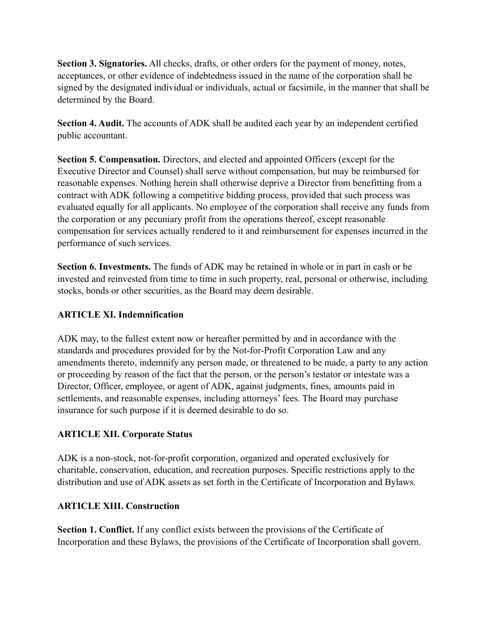**Section 3. Signatories.** All checks, drafts, or other orders for the payment of money, notes, acceptances, or other evidence of indebtedness issued in the name of the corporation shall be signed by the designated individual or individuals, actual or facsimile, in the manner that shall be determined by the Board.

**Section 4. Audit.** The accounts of ADK shall be audited each year by an independent certified public accountant.

**Section 5. Compensation.** Directors, and elected and appointed Officers (except for the Executive Director and Counsel) shall serve without compensation, but may be reimbursed for reasonable expenses. Nothing herein shall otherwise deprive a Director from benefitting from a contract with ADK following a competitive bidding process, provided that such process was evaluated equally for all applicants. No employee of the corporation shall receive any funds from the corporation or any pecuniary profit from the operations thereof, except reasonable compensation for services actually rendered to it and reimbursement for expenses incurred in the performance of such services.

**Section 6. Investments.** The funds of ADK may be retained in whole or in part in cash or be invested and reinvested from time to time in such property, real, personal or otherwise, including stocks, bonds or other securities, as the Board may deem desirable.

### **ARTICLE XI. Indemnification**

ADK may, to the fullest extent now or hereafter permitted by and in accordance with the standards and procedures provided for by the Not-for-Profit Corporation Law and any amendments thereto, indemnify any person made, or threatened to be made, a party to any action or proceeding by reason of the fact that the person, or the person's testator or intestate was a Director, Officer, employee, or agent of ADK, against judgments, fines, amounts paid in settlements, and reasonable expenses, including attorneys' fees. The Board may purchase insurance for such purpose if it is deemed desirable to do so.

#### **ARTICLE XII. Corporate Status**

ADK is a non-stock, not-for-profit corporation, organized and operated exclusively for charitable, conservation, education, and recreation purposes. Specific restrictions apply to the distribution and use of ADK assets as set forth in the Certificate of Incorporation and Bylaws.

#### **ARTICLE XIII. Construction**

**Section 1. Conflict.** If any conflict exists between the provisions of the Certificate of Incorporation and these Bylaws, the provisions of the Certificate of Incorporation shall govern.